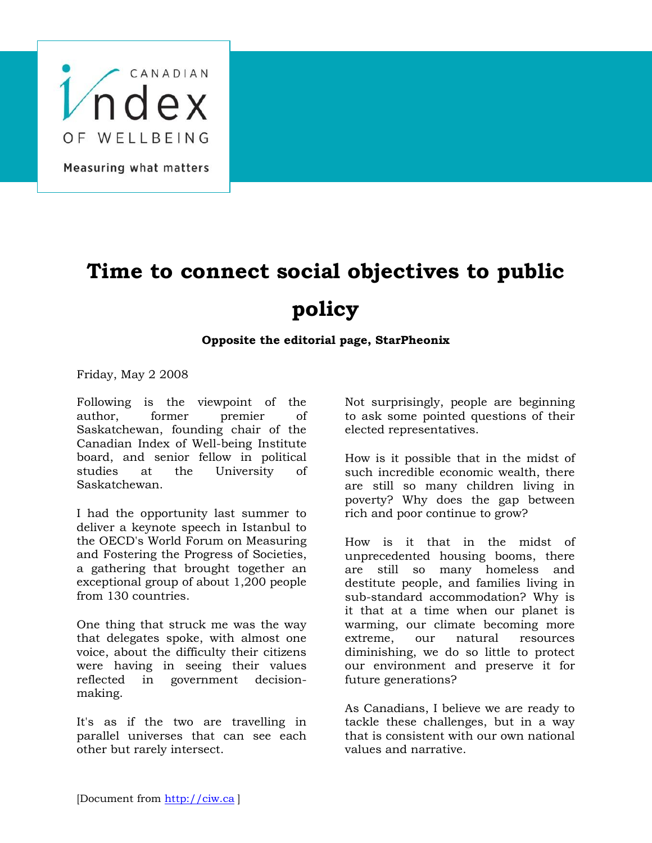

## Measuring what matters

## **Time to connect social objectives to public policy**

## **Opposite the editorial page, StarPheonix**

Friday, May 2 2008

Following is the viewpoint of the author, former premier of Saskatchewan, founding chair of the Canadian Index of Well-being Institute board, and senior fellow in political studies at the University of Saskatchewan.

I had the opportunity last summer to deliver a keynote speech in Istanbul to the OECD's World Forum on Measuring and Fostering the Progress of Societies, a gathering that brought together an exceptional group of about 1,200 people from 130 countries.

One thing that struck me was the way that delegates spoke, with almost one voice, about the difficulty their citizens were having in seeing their values reflected in government decisionmaking.

It's as if the two are travelling in parallel universes that can see each other but rarely intersect.

Not surprisingly, people are beginning to ask some pointed questions of their elected representatives.

How is it possible that in the midst of such incredible economic wealth, there are still so many children living in poverty? Why does the gap between rich and poor continue to grow?

How is it that in the midst of unprecedented housing booms, there are still so many homeless and destitute people, and families living in sub-standard accommodation? Why is it that at a time when our planet is warming, our climate becoming more extreme, our natural resources diminishing, we do so little to protect our environment and preserve it for future generations?

As Canadians, I believe we are ready to tackle these challenges, but in a way that is consistent with our own national values and narrative.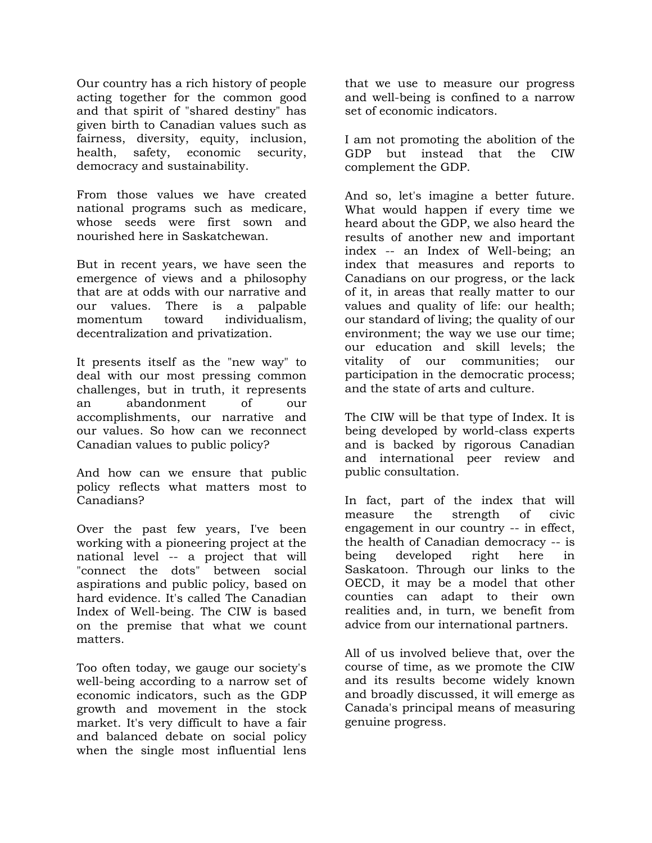Our country has a rich history of people acting together for the common good and that spirit of "shared destiny" has given birth to Canadian values such as fairness, diversity, equity, inclusion, health, safety, economic security, democracy and sustainability.

From those values we have created national programs such as medicare, whose seeds were first sown and nourished here in Saskatchewan.

But in recent years, we have seen the emergence of views and a philosophy that are at odds with our narrative and our values. There is a palpable momentum toward individualism, decentralization and privatization.

It presents itself as the "new way" to deal with our most pressing common challenges, but in truth, it represents an abandonment of our accomplishments, our narrative and our values. So how can we reconnect Canadian values to public policy?

And how can we ensure that public policy reflects what matters most to Canadians?

Over the past few years, I've been working with a pioneering project at the national level -- a project that will "connect the dots" between social aspirations and public policy, based on hard evidence. It's called The Canadian Index of Well-being. The CIW is based on the premise that what we count matters.

Too often today, we gauge our society's well-being according to a narrow set of economic indicators, such as the GDP growth and movement in the stock market. It's very difficult to have a fair and balanced debate on social policy when the single most influential lens

that we use to measure our progress and well-being is confined to a narrow set of economic indicators.

I am not promoting the abolition of the GDP but instead that the CIW complement the GDP.

And so, let's imagine a better future. What would happen if every time we heard about the GDP, we also heard the results of another new and important index -- an Index of Well-being; an index that measures and reports to Canadians on our progress, or the lack of it, in areas that really matter to our values and quality of life: our health; our standard of living; the quality of our environment; the way we use our time; our education and skill levels; the vitality of our communities; our participation in the democratic process; and the state of arts and culture.

The CIW will be that type of Index. It is being developed by world-class experts and is backed by rigorous Canadian and international peer review and public consultation.

In fact, part of the index that will measure the strength of civic engagement in our country -- in effect, the health of Canadian democracy -- is being developed right here in Saskatoon. Through our links to the OECD, it may be a model that other counties can adapt to their own realities and, in turn, we benefit from advice from our international partners.

All of us involved believe that, over the course of time, as we promote the CIW and its results become widely known and broadly discussed, it will emerge as Canada's principal means of measuring genuine progress.